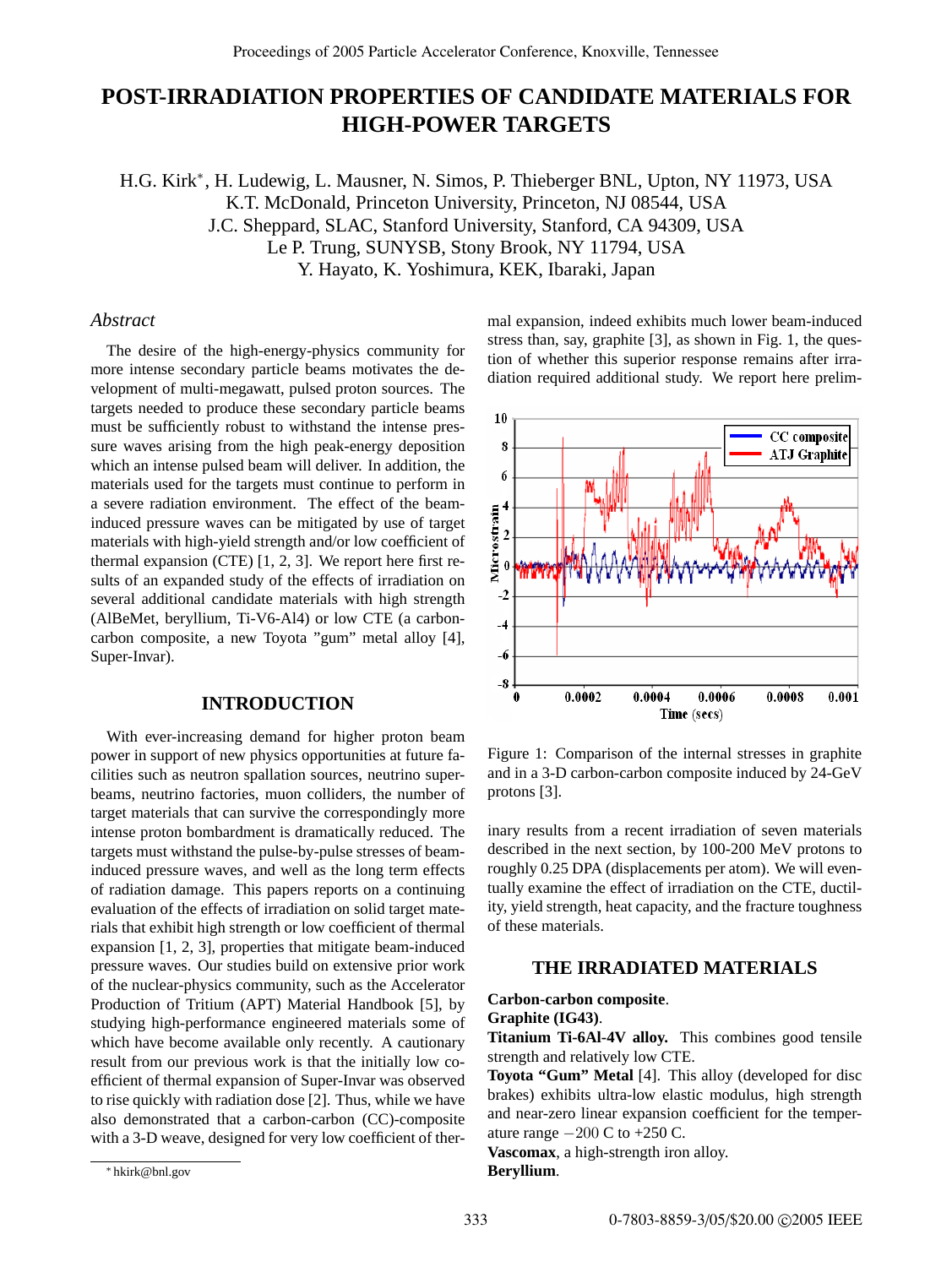# **POST-IRRADIATION PROPERTIES OF CANDIDATE MATERIALS FOR HIGH-POWER TARGETS**

H.G. Kirk<sup>∗</sup>, H. Ludewig, L. Mausner, N. Simos, P. Thieberger BNL, Upton, NY 11973, USA K.T. McDonald, Princeton University, Princeton, NJ 08544, USA J.C. Sheppard, SLAC, Stanford University, Stanford, CA 94309, USA Le P. Trung, SUNYSB, Stony Brook, NY 11794, USA Y. Hayato, K. Yoshimura, KEK, Ibaraki, Japan

## *Abstract*

The desire of the high-energy-physics community for more intense secondary particle beams motivates the development of multi-megawatt, pulsed proton sources. The targets needed to produce these secondary particle beams must be sufficiently robust to withstand the intense pressure waves arising from the high peak-energy deposition which an intense pulsed beam will deliver. In addition, the materials used for the targets must continue to perform in a severe radiation environment. The effect of the beaminduced pressure waves can be mitigated by use of target materials with high-yield strength and/or low coefficient of thermal expansion (CTE) [1, 2, 3]. We report here first results of an expanded study of the effects of irradiation on several additional candidate materials with high strength (AlBeMet, beryllium, Ti-V6-Al4) or low CTE (a carboncarbon composite, a new Toyota "gum" metal alloy [4], Super-Invar).

#### **INTRODUCTION**

With ever-increasing demand for higher proton beam power in support of new physics opportunities at future facilities such as neutron spallation sources, neutrino superbeams, neutrino factories, muon colliders, the number of target materials that can survive the correspondingly more intense proton bombardment is dramatically reduced. The targets must withstand the pulse-by-pulse stresses of beaminduced pressure waves, and well as the long term effects of radiation damage. This papers reports on a continuing evaluation of the effects of irradiation on solid target materials that exhibit high strength or low coefficient of thermal expansion [1, 2, 3], properties that mitigate beam-induced pressure waves. Our studies build on extensive prior work of the nuclear-physics community, such as the Accelerator Production of Tritium (APT) Material Handbook [5], by studying high-performance engineered materials some of which have become available only recently. A cautionary result from our previous work is that the initially low coefficient of thermal expansion of Super-Invar was observed to rise quickly with radiation dose [2]. Thus, while we have also demonstrated that a carbon-carbon (CC)-composite with a 3-D weave, designed for very low coefficient of thermal expansion, indeed exhibits much lower beam-induced stress than, say, graphite [3], as shown in Fig. 1, the question of whether this superior response remains after irradiation required additional study. We report here prelim-



Figure 1: Comparison of the internal stresses in graphite and in a 3-D carbon-carbon composite induced by 24-GeV protons [3].

inary results from a recent irradiation of seven materials described in the next section, by 100-200 MeV protons to roughly 0.25 DPA (displacements per atom). We will eventually examine the effect of irradiation on the CTE, ductility, yield strength, heat capacity, and the fracture toughness of these materials.

# **THE IRRADIATED MATERIALS**

#### **Carbon-carbon composite**. **Graphite (IG43)**.

**Titanium Ti-6Al-4V alloy.** This combines good tensile strength and relatively low CTE.

**Toyota "Gum" Metal** [4]. This alloy (developed for disc brakes) exhibits ultra-low elastic modulus, high strength and near-zero linear expansion coefficient for the temperature range  $-200 \text{ C}$  to  $+250 \text{ C}$ .

**Vascomax**, a high-strength iron alloy.

# **Beryllium**.

<sup>∗</sup> hkirk@bnl.gov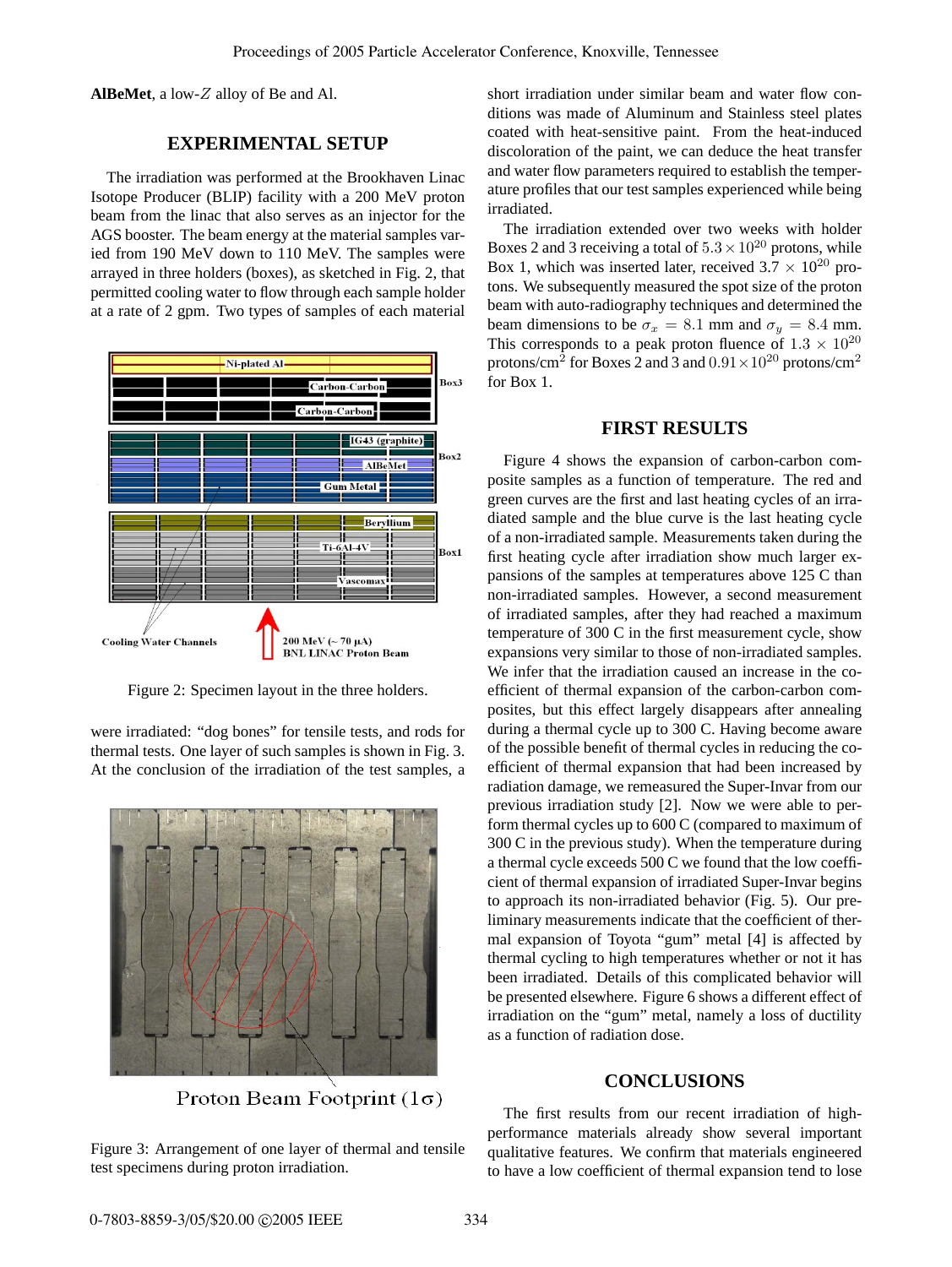**AlBeMet**, a low-Z alloy of Be and Al.

# **EXPERIMENTAL SETUP**

The irradiation was performed at the Brookhaven Linac Isotope Producer (BLIP) facility with a 200 MeV proton beam from the linac that also serves as an injector for the AGS booster. The beam energy at the material samples varied from 190 MeV down to 110 MeV. The samples were arrayed in three holders (boxes), as sketched in Fig. 2, that permitted cooling water to flow through each sample holder at a rate of 2 gpm. Two types of samples of each material



Figure 2: Specimen layout in the three holders.

were irradiated: "dog bones" for tensile tests, and rods for thermal tests. One layer of such samples is shown in Fig. 3. At the conclusion of the irradiation of the test samples, a



Proton Beam Footprint  $(1\sigma)$ 

Figure 3: Arrangement of one layer of thermal and tensile test specimens during proton irradiation.

short irradiation under similar beam and water flow conditions was made of Aluminum and Stainless steel plates coated with heat-sensitive paint. From the heat-induced discoloration of the paint, we can deduce the heat transfer and water flow parameters required to establish the temperature profiles that our test samples experienced while being irradiated.

The irradiation extended over two weeks with holder Boxes 2 and 3 receiving a total of  $5.3 \times 10^{20}$  protons, while Box 1, which was inserted later, received  $3.7 \times 10^{20}$  protons. We subsequently measured the spot size of the proton beam with auto-radiography techniques and determined the beam dimensions to be  $\sigma_x = 8.1$  mm and  $\sigma_y = 8.4$  mm. This corresponds to a peak proton fluence of  $1.3 \times 10^{20}$ protons/cm<sup>2</sup> for Boxes 2 and 3 and  $0.91 \times 10^{20}$  protons/cm<sup>2</sup> for Box 1.

#### **FIRST RESULTS**

Figure 4 shows the expansion of carbon-carbon composite samples as a function of temperature. The red and green curves are the first and last heating cycles of an irradiated sample and the blue curve is the last heating cycle of a non-irradiated sample. Measurements taken during the first heating cycle after irradiation show much larger expansions of the samples at temperatures above 125 C than non-irradiated samples. However, a second measurement of irradiated samples, after they had reached a maximum temperature of 300 C in the first measurement cycle, show expansions very similar to those of non-irradiated samples. We infer that the irradiation caused an increase in the coefficient of thermal expansion of the carbon-carbon composites, but this effect largely disappears after annealing during a thermal cycle up to 300 C. Having become aware of the possible benefit of thermal cycles in reducing the coefficient of thermal expansion that had been increased by radiation damage, we remeasured the Super-Invar from our previous irradiation study [2]. Now we were able to perform thermal cycles up to 600 C (compared to maximum of 300 C in the previous study). When the temperature during a thermal cycle exceeds 500 C we found that the low coefficient of thermal expansion of irradiated Super-Invar begins to approach its non-irradiated behavior (Fig. 5). Our preliminary measurements indicate that the coefficient of thermal expansion of Toyota "gum" metal [4] is affected by thermal cycling to high temperatures whether or not it has been irradiated. Details of this complicated behavior will be presented elsewhere. Figure 6 shows a different effect of irradiation on the "gum" metal, namely a loss of ductility as a function of radiation dose.

### **CONCLUSIONS**

The first results from our recent irradiation of highperformance materials already show several important qualitative features. We confirm that materials engineered to have a low coefficient of thermal expansion tend to lose